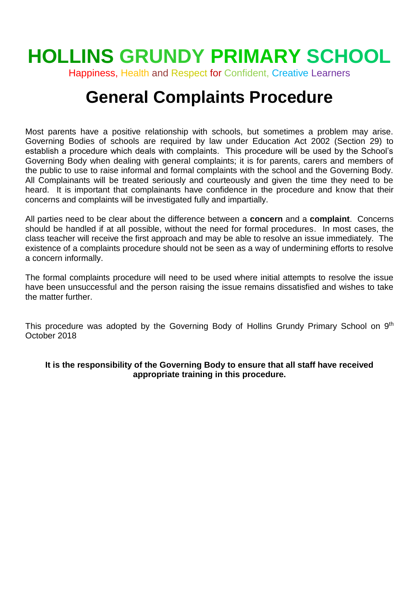# **HOLLINS GRUNDY PRIMARY SCHOOL**

Happiness, Health and Respect for Confident, Creative Learners

# **General Complaints Procedure**

Most parents have a positive relationship with schools, but sometimes a problem may arise. Governing Bodies of schools are required by law under Education Act 2002 (Section 29) to establish a procedure which deals with complaints. This procedure will be used by the School's Governing Body when dealing with general complaints; it is for parents, carers and members of the public to use to raise informal and formal complaints with the school and the Governing Body. All Complainants will be treated seriously and courteously and given the time they need to be heard. It is important that complainants have confidence in the procedure and know that their concerns and complaints will be investigated fully and impartially.

All parties need to be clear about the difference between a **concern** and a **complaint**. Concerns should be handled if at all possible, without the need for formal procedures. In most cases, the class teacher will receive the first approach and may be able to resolve an issue immediately. The existence of a complaints procedure should not be seen as a way of undermining efforts to resolve a concern informally.

The formal complaints procedure will need to be used where initial attempts to resolve the issue have been unsuccessful and the person raising the issue remains dissatisfied and wishes to take the matter further.

This procedure was adopted by the Governing Body of Hollins Grundy Primary School on 9<sup>th</sup> October 2018

#### **It is the responsibility of the Governing Body to ensure that all staff have received appropriate training in this procedure.**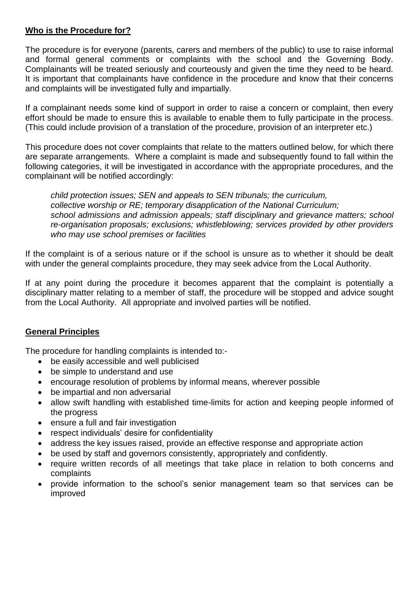#### **Who is the Procedure for?**

The procedure is for everyone (parents, carers and members of the public) to use to raise informal and formal general comments or complaints with the school and the Governing Body. Complainants will be treated seriously and courteously and given the time they need to be heard. It is important that complainants have confidence in the procedure and know that their concerns and complaints will be investigated fully and impartially.

If a complainant needs some kind of support in order to raise a concern or complaint, then every effort should be made to ensure this is available to enable them to fully participate in the process. (This could include provision of a translation of the procedure, provision of an interpreter etc.)

This procedure does not cover complaints that relate to the matters outlined below, for which there are separate arrangements. Where a complaint is made and subsequently found to fall within the following categories, it will be investigated in accordance with the appropriate procedures, and the complainant will be notified accordingly:

*child protection issues; SEN and appeals to SEN tribunals; the curriculum, collective worship or RE; temporary disapplication of the National Curriculum; school admissions and admission appeals; staff disciplinary and grievance matters; school re-organisation proposals; exclusions; whistleblowing; services provided by other providers who may use school premises or facilities*

If the complaint is of a serious nature or if the school is unsure as to whether it should be dealt with under the general complaints procedure, they may seek advice from the Local Authority.

If at any point during the procedure it becomes apparent that the complaint is potentially a disciplinary matter relating to a member of staff, the procedure will be stopped and advice sought from the Local Authority. All appropriate and involved parties will be notified.

# **General Principles**

The procedure for handling complaints is intended to:-

- be easily accessible and well publicised
- be simple to understand and use
- encourage resolution of problems by informal means, wherever possible
- be impartial and non adversarial
- allow swift handling with established time-limits for action and keeping people informed of the progress
- ensure a full and fair investigation
- respect individuals' desire for confidentiality
- address the key issues raised, provide an effective response and appropriate action
- be used by staff and governors consistently, appropriately and confidently.
- require written records of all meetings that take place in relation to both concerns and complaints
- provide information to the school's senior management team so that services can be improved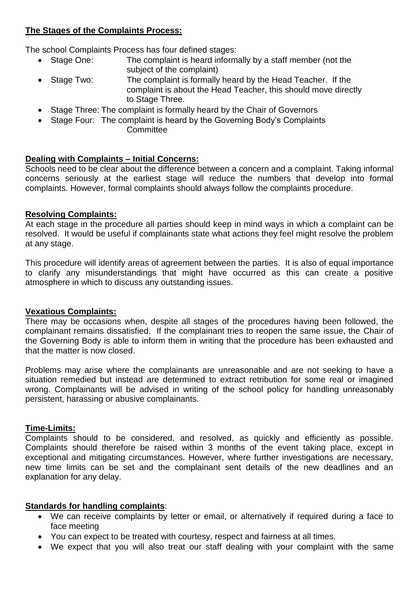# **The Stages of the Complaints Process:**

The school Complaints Process has four defined stages:

- Stage One: The complaint is heard informally by a staff member (not the subject of the complaint)
- Stage Two: The complaint is formally heard by the Head Teacher. If the complaint is about the Head Teacher, this should move directly to Stage Three.
- Stage Three: The complaint is formally heard by the Chair of Governors
- Stage Four: The complaint is heard by the Governing Body's Complaints **Committee**

# **Dealing with Complaints – Initial Concerns:**

Schools need to be clear about the difference between a concern and a complaint. Taking informal concerns seriously at the earliest stage will reduce the numbers that develop into formal complaints. However, formal complaints should always follow the complaints procedure.

# **Resolving Complaints:**

At each stage in the procedure all parties should keep in mind ways in which a complaint can be resolved. It would be useful if complainants state what actions they feel might resolve the problem at any stage.

This procedure will identify areas of agreement between the parties. It is also of equal importance to clarify any misunderstandings that might have occurred as this can create a positive atmosphere in which to discuss any outstanding issues.

# **Vexatious Complaints:**

There may be occasions when, despite all stages of the procedures having been followed, the complainant remains dissatisfied. If the complainant tries to reopen the same issue, the Chair of the Governing Body is able to inform them in writing that the procedure has been exhausted and that the matter is now closed.

Problems may arise where the complainants are unreasonable and are not seeking to have a situation remedied but instead are determined to extract retribution for some real or imagined wrong. Complainants will be advised in writing of the school policy for handling unreasonably persistent, harassing or abusive complainants.

# **Time-Limits:**

Complaints should to be considered, and resolved, as quickly and efficiently as possible. Complaints should therefore be raised within 3 months of the event taking place, except in exceptional and mitigating circumstances. However, where further investigations are necessary, new time limits can be set and the complainant sent details of the new deadlines and an explanation for any delay.

# **Standards for handling complaints**:

- We can receive complaints by letter or email, or alternatively if required during a face to face meeting
- You can expect to be treated with courtesy, respect and fairness at all times.
- We expect that you will also treat our staff dealing with your complaint with the same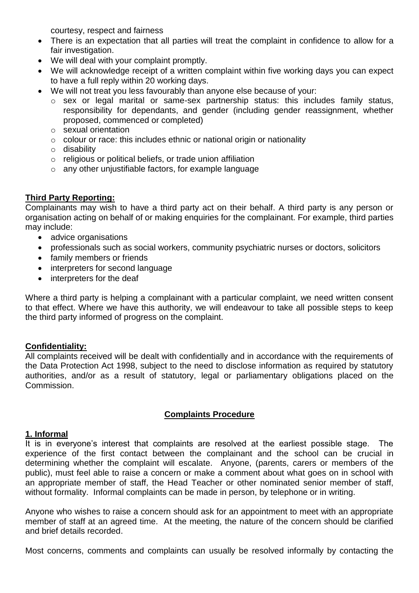courtesy, respect and fairness

- There is an expectation that all parties will treat the complaint in confidence to allow for a fair investigation.
- We will deal with your complaint promptly.
- We will acknowledge receipt of a written complaint within five working days you can expect to have a full reply within 20 working days.
- We will not treat you less favourably than anyone else because of your:
	- o sex or legal marital or same-sex partnership status: this includes family status, responsibility for dependants, and gender (including gender reassignment, whether proposed, commenced or completed)
	- o sexual orientation
	- o colour or race: this includes ethnic or national origin or nationality
	- o disability
	- o religious or political beliefs, or trade union affiliation
	- o any other unjustifiable factors, for example language

# **Third Party Reporting:**

Complainants may wish to have a third party act on their behalf. A third party is any person or organisation acting on behalf of or making enquiries for the complainant. For example, third parties may include:

- advice organisations
- professionals such as social workers, community psychiatric nurses or doctors, solicitors
- family members or friends
- interpreters for second language
- interpreters for the deaf

Where a third party is helping a complainant with a particular complaint, we need written consent to that effect. Where we have this authority, we will endeavour to take all possible steps to keep the third party informed of progress on the complaint.

#### **Confidentiality:**

All complaints received will be dealt with confidentially and in accordance with the requirements of the Data Protection Act 1998, subject to the need to disclose information as required by statutory authorities, and/or as a result of statutory, legal or parliamentary obligations placed on the Commission.

#### **Complaints Procedure**

#### **1. Informal**

It is in everyone's interest that complaints are resolved at the earliest possible stage. The experience of the first contact between the complainant and the school can be crucial in determining whether the complaint will escalate. Anyone, (parents, carers or members of the public), must feel able to raise a concern or make a comment about what goes on in school with an appropriate member of staff, the Head Teacher or other nominated senior member of staff, without formality. Informal complaints can be made in person, by telephone or in writing.

Anyone who wishes to raise a concern should ask for an appointment to meet with an appropriate member of staff at an agreed time. At the meeting, the nature of the concern should be clarified and brief details recorded.

Most concerns, comments and complaints can usually be resolved informally by contacting the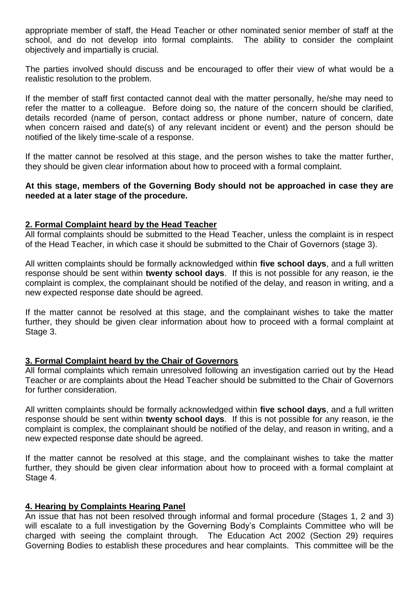appropriate member of staff, the Head Teacher or other nominated senior member of staff at the school, and do not develop into formal complaints. The ability to consider the complaint objectively and impartially is crucial.

The parties involved should discuss and be encouraged to offer their view of what would be a realistic resolution to the problem.

If the member of staff first contacted cannot deal with the matter personally, he/she may need to refer the matter to a colleague. Before doing so, the nature of the concern should be clarified, details recorded (name of person, contact address or phone number, nature of concern, date when concern raised and date(s) of any relevant incident or event) and the person should be notified of the likely time-scale of a response.

If the matter cannot be resolved at this stage, and the person wishes to take the matter further, they should be given clear information about how to proceed with a formal complaint.

#### **At this stage, members of the Governing Body should not be approached in case they are needed at a later stage of the procedure.**

#### **2. Formal Complaint heard by the Head Teacher**

All formal complaints should be submitted to the Head Teacher, unless the complaint is in respect of the Head Teacher, in which case it should be submitted to the Chair of Governors (stage 3).

All written complaints should be formally acknowledged within **five school days**, and a full written response should be sent within **twenty school days**. If this is not possible for any reason, ie the complaint is complex, the complainant should be notified of the delay, and reason in writing, and a new expected response date should be agreed.

If the matter cannot be resolved at this stage, and the complainant wishes to take the matter further, they should be given clear information about how to proceed with a formal complaint at Stage 3.

#### **3. Formal Complaint heard by the Chair of Governors**

All formal complaints which remain unresolved following an investigation carried out by the Head Teacher or are complaints about the Head Teacher should be submitted to the Chair of Governors for further consideration.

All written complaints should be formally acknowledged within **five school days**, and a full written response should be sent within **twenty school days**. If this is not possible for any reason, ie the complaint is complex, the complainant should be notified of the delay, and reason in writing, and a new expected response date should be agreed.

If the matter cannot be resolved at this stage, and the complainant wishes to take the matter further, they should be given clear information about how to proceed with a formal complaint at Stage 4.

#### **4. Hearing by Complaints Hearing Panel**

An issue that has not been resolved through informal and formal procedure (Stages 1, 2 and 3) will escalate to a full investigation by the Governing Body's Complaints Committee who will be charged with seeing the complaint through. The Education Act 2002 (Section 29) requires Governing Bodies to establish these procedures and hear complaints. This committee will be the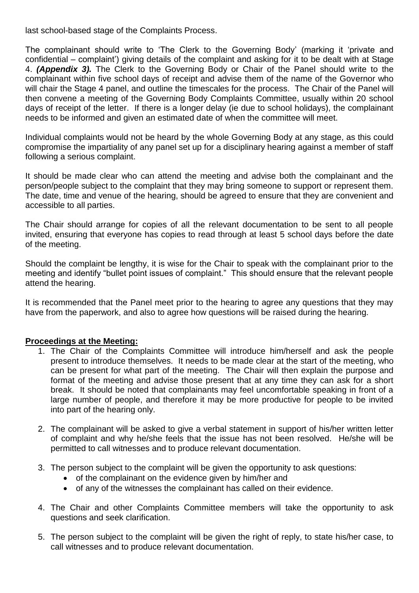last school-based stage of the Complaints Process.

The complainant should write to 'The Clerk to the Governing Body' (marking it 'private and confidential – complaint') giving details of the complaint and asking for it to be dealt with at Stage 4. *(Appendix 3).* The Clerk to the Governing Body or Chair of the Panel should write to the complainant within five school days of receipt and advise them of the name of the Governor who will chair the Stage 4 panel, and outline the timescales for the process. The Chair of the Panel will then convene a meeting of the Governing Body Complaints Committee, usually within 20 school days of receipt of the letter. If there is a longer delay (ie due to school holidays), the complainant needs to be informed and given an estimated date of when the committee will meet.

Individual complaints would not be heard by the whole Governing Body at any stage, as this could compromise the impartiality of any panel set up for a disciplinary hearing against a member of staff following a serious complaint.

It should be made clear who can attend the meeting and advise both the complainant and the person/people subject to the complaint that they may bring someone to support or represent them. The date, time and venue of the hearing, should be agreed to ensure that they are convenient and accessible to all parties.

The Chair should arrange for copies of all the relevant documentation to be sent to all people invited, ensuring that everyone has copies to read through at least 5 school days before the date of the meeting.

Should the complaint be lengthy, it is wise for the Chair to speak with the complainant prior to the meeting and identify "bullet point issues of complaint." This should ensure that the relevant people attend the hearing.

It is recommended that the Panel meet prior to the hearing to agree any questions that they may have from the paperwork, and also to agree how questions will be raised during the hearing.

#### **Proceedings at the Meeting:**

- 1. The Chair of the Complaints Committee will introduce him/herself and ask the people present to introduce themselves. It needs to be made clear at the start of the meeting, who can be present for what part of the meeting. The Chair will then explain the purpose and format of the meeting and advise those present that at any time they can ask for a short break. It should be noted that complainants may feel uncomfortable speaking in front of a large number of people, and therefore it may be more productive for people to be invited into part of the hearing only.
- 2. The complainant will be asked to give a verbal statement in support of his/her written letter of complaint and why he/she feels that the issue has not been resolved. He/she will be permitted to call witnesses and to produce relevant documentation.
- 3. The person subject to the complaint will be given the opportunity to ask questions:
	- of the complainant on the evidence given by him/her and
	- of any of the witnesses the complainant has called on their evidence.
- 4. The Chair and other Complaints Committee members will take the opportunity to ask questions and seek clarification.
- 5. The person subject to the complaint will be given the right of reply, to state his/her case, to call witnesses and to produce relevant documentation.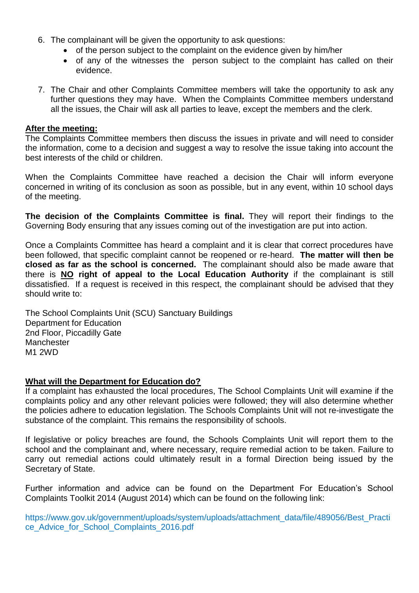- 6. The complainant will be given the opportunity to ask questions:
	- of the person subject to the complaint on the evidence given by him/her
	- of any of the witnesses the person subject to the complaint has called on their evidence.
- 7. The Chair and other Complaints Committee members will take the opportunity to ask any further questions they may have. When the Complaints Committee members understand all the issues, the Chair will ask all parties to leave, except the members and the clerk.

#### **After the meeting:**

The Complaints Committee members then discuss the issues in private and will need to consider the information, come to a decision and suggest a way to resolve the issue taking into account the best interests of the child or children.

When the Complaints Committee have reached a decision the Chair will inform everyone concerned in writing of its conclusion as soon as possible, but in any event, within 10 school days of the meeting.

**The decision of the Complaints Committee is final.** They will report their findings to the Governing Body ensuring that any issues coming out of the investigation are put into action.

Once a Complaints Committee has heard a complaint and it is clear that correct procedures have been followed, that specific complaint cannot be reopened or re-heard. **The matter will then be closed as far as the school is concerned.** The complainant should also be made aware that there is **NO right of appeal to the Local Education Authority** if the complainant is still dissatisfied. If a request is received in this respect, the complainant should be advised that they should write to:

The School Complaints Unit (SCU) Sanctuary Buildings Department for Education 2nd Floor, Piccadilly Gate **Manchester** M1 2WD

#### **What will the Department for Education do?**

If a complaint has exhausted the local procedures, The School Complaints Unit will examine if the complaints policy and any other relevant policies were followed; they will also determine whether the policies adhere to education legislation. The Schools Complaints Unit will not re-investigate the substance of the complaint. This remains the responsibility of schools.

If legislative or policy breaches are found, the Schools Complaints Unit will report them to the school and the complainant and, where necessary, require remedial action to be taken. Failure to carry out remedial actions could ultimately result in a formal Direction being issued by the Secretary of State.

Further information and advice can be found on the Department For Education's School Complaints Toolkit 2014 (August 2014) which can be found on the following link:

https://www.gov.uk/government/uploads/system/uploads/attachment\_data/file/489056/Best\_Practi ce\_Advice\_for\_School\_Complaints\_2016.pdf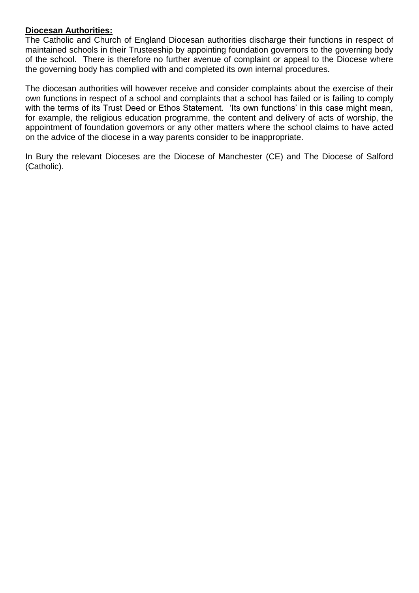#### **Diocesan Authorities:**

The Catholic and Church of England Diocesan authorities discharge their functions in respect of maintained schools in their Trusteeship by appointing foundation governors to the governing body of the school. There is therefore no further avenue of complaint or appeal to the Diocese where the governing body has complied with and completed its own internal procedures.

The diocesan authorities will however receive and consider complaints about the exercise of their own functions in respect of a school and complaints that a school has failed or is failing to comply with the terms of its Trust Deed or Ethos Statement. 'Its own functions' in this case might mean, for example, the religious education programme, the content and delivery of acts of worship, the appointment of foundation governors or any other matters where the school claims to have acted on the advice of the diocese in a way parents consider to be inappropriate.

In Bury the relevant Dioceses are the Diocese of Manchester (CE) and The Diocese of Salford (Catholic).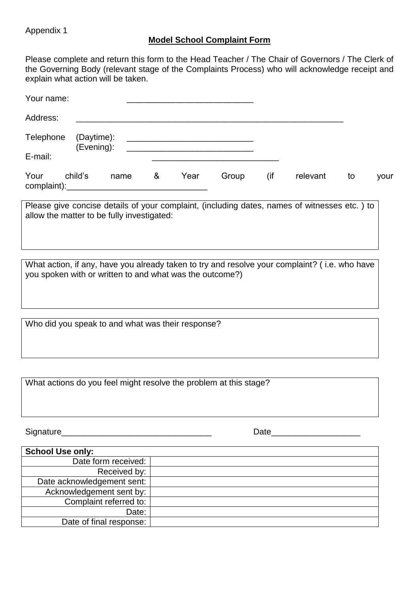Appendix 1

# **Model School Complaint Form**

Please complete and return this form to the Head Teacher / The Chair of Governors / The Clerk of the Governing Body (relevant stage of the Complaints Process) who will acknowledge receipt and explain what action will be taken.

| $\blacksquare$                        |   |      |       |     |          |    |      |
|---------------------------------------|---|------|-------|-----|----------|----|------|
| Your<br>child's<br>name               | & | Year | Group | (if | relevant | to | your |
| E-mail:                               |   |      |       |     |          |    |      |
| Telephone<br>(Daytime):<br>(Evening): |   |      |       |     |          |    |      |
| Address:                              |   |      |       |     |          |    |      |
| Your name:                            |   |      |       |     |          |    |      |

Please give concise details of your complaint, (including dates, names of witnesses etc. ) to allow the matter to be fully investigated:

What action, if any, have you already taken to try and resolve your complaint? ( i.e. who have you spoken with or written to and what was the outcome?)

Who did you speak to and what was their response?

What actions do you feel might resolve the problem at this stage?

Signature\_\_\_\_\_\_\_\_\_\_\_\_\_\_\_\_\_\_\_\_\_\_\_\_\_\_\_\_\_\_\_\_ Date\_\_\_\_\_\_\_\_\_\_\_\_\_\_\_\_\_\_\_

| <b>School Use only:</b>    |  |
|----------------------------|--|
| Date form received:        |  |
| Received by:               |  |
| Date acknowledgement sent: |  |
| Acknowledgement sent by:   |  |
| Complaint referred to:     |  |
| Date:                      |  |
| Date of final response:    |  |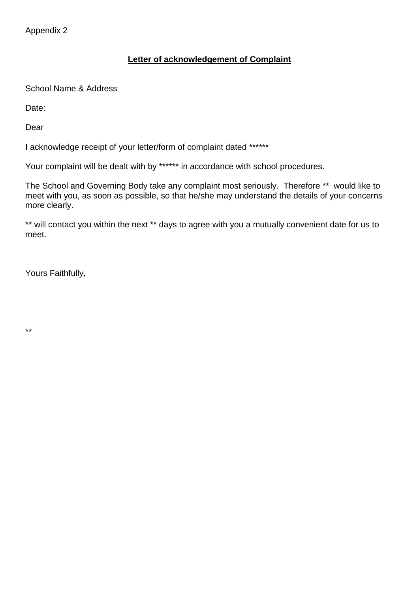Appendix 2

# **Letter of acknowledgement of Complaint**

School Name & Address

Date:

Dear

I acknowledge receipt of your letter/form of complaint dated \*\*\*\*\*\*

Your complaint will be dealt with by \*\*\*\*\*\* in accordance with school procedures.

The School and Governing Body take any complaint most seriously. Therefore \*\* would like to meet with you, as soon as possible, so that he/she may understand the details of your concerns more clearly.

\*\* will contact you within the next \*\* days to agree with you a mutually convenient date for us to meet.

Yours Faithfully,

\*\*